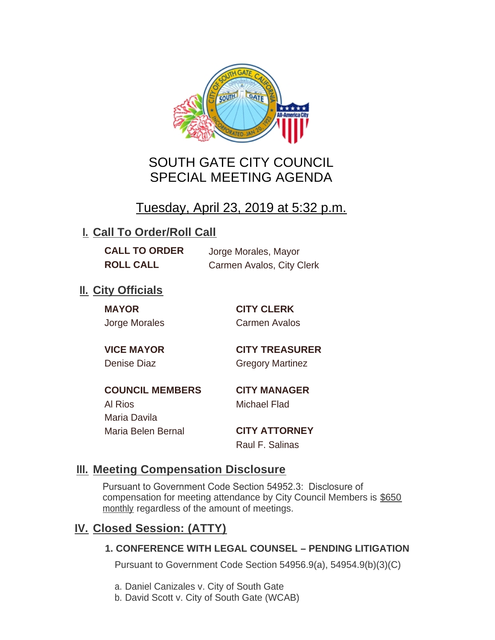

# SOUTH GATE CITY COUNCIL SPECIAL MEETING AGENDA

# Tuesday, April 23, 2019 at 5:32 p.m.

# **I. Call To Order/Roll Call**

**CALL TO ORDER** Jorge Morales, Mayor

**ROLL CALL** Carmen Avalos, City Clerk

## **II.** City Officials

**MAYOR CITY CLERK**

Jorge Morales Carmen Avalos

**VICE MAYOR CITY TREASURER** Denise Diaz Gregory Martinez

**COUNCIL MEMBERS CITY MANAGER** Al Rios Michael Flad Maria Davila Maria Belen Bernal **CITY ATTORNEY**

Raul F. Salinas

### **Meeting Compensation Disclosure III.**

Pursuant to Government Code Section 54952.3: Disclosure of compensation for meeting attendance by City Council Members is \$650 monthly regardless of the amount of meetings.

## **Closed Session: (ATTY) IV.**

#### **1. CONFERENCE WITH LEGAL COUNSEL – PENDING LITIGATION**

Pursuant to Government Code Section 54956.9(a), 54954.9(b)(3)(C)

- a. Daniel Canizales v. City of South Gate
- b. David Scott v. City of South Gate (WCAB)